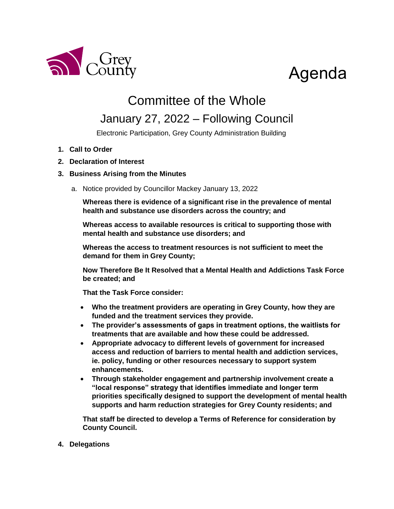

# Agenda

## Committee of the Whole

### January 27, 2022 – Following Council

Electronic Participation, Grey County Administration Building

- **1. Call to Order**
- **2. Declaration of Interest**

#### **3. Business Arising from the Minutes**

a. Notice provided by Councillor Mackey January 13, 2022

**Whereas there is evidence of a significant rise in the prevalence of mental health and substance use disorders across the country; and**

**Whereas access to available resources is critical to supporting those with mental health and substance use disorders; and**

**Whereas the access to treatment resources is not sufficient to meet the demand for them in Grey County;**

**Now Therefore Be It Resolved that a Mental Health and Addictions Task Force be created; and**

**That the Task Force consider:**

- **Who the treatment providers are operating in Grey County, how they are funded and the treatment services they provide.**
- **The provider's assessments of gaps in treatment options, the waitlists for treatments that are available and how these could be addressed.**
- **Appropriate advocacy to different levels of government for increased access and reduction of barriers to mental health and addiction services, ie. policy, funding or other resources necessary to support system enhancements.**
- **Through stakeholder engagement and partnership involvement create a "local response" strategy that identifies immediate and longer term priorities specifically designed to support the development of mental health supports and harm reduction strategies for Grey County residents; and**

**That staff be directed to develop a Terms of Reference for consideration by County Council.** 

#### **4. Delegations**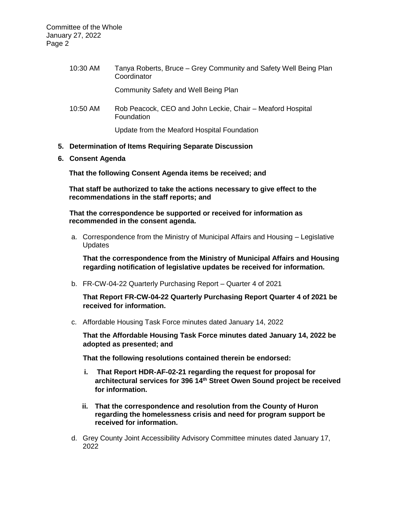| 10:30 AM | Tanya Roberts, Bruce – Grey Community and Safety Well Being Plan<br>Coordinator |
|----------|---------------------------------------------------------------------------------|
|          | <b>Community Safety and Well Being Plan</b>                                     |
| 10:50 AM | Rob Peacock, CEO and John Leckie, Chair – Meaford Hospital<br>Foundation        |
|          | Update from the Meaford Hospital Foundation                                     |

#### **5. Determination of Items Requiring Separate Discussion**

**6. Consent Agenda**

**That the following Consent Agenda items be received; and**

**That staff be authorized to take the actions necessary to give effect to the recommendations in the staff reports; and**

**That the correspondence be supported or received for information as recommended in the consent agenda.**

a. Correspondence from the Ministry of Municipal Affairs and Housing – Legislative Updates

**That the correspondence from the Ministry of Municipal Affairs and Housing regarding notification of legislative updates be received for information.** 

b. FR-CW-04-22 Quarterly Purchasing Report – Quarter 4 of 2021

**That Report FR-CW-04-22 Quarterly Purchasing Report Quarter 4 of 2021 be received for information.** 

c. Affordable Housing Task Force minutes dated January 14, 2022

**That the Affordable Housing Task Force minutes dated January 14, 2022 be adopted as presented; and**

**That the following resolutions contained therein be endorsed:**

- **i. That Report HDR-AF-02-21 regarding the request for proposal for architectural services for 396 14th Street Owen Sound project be received for information.**
- **ii. That the correspondence and resolution from the County of Huron regarding the homelessness crisis and need for program support be received for information.**
- d. Grey County Joint Accessibility Advisory Committee minutes dated January 17, 2022